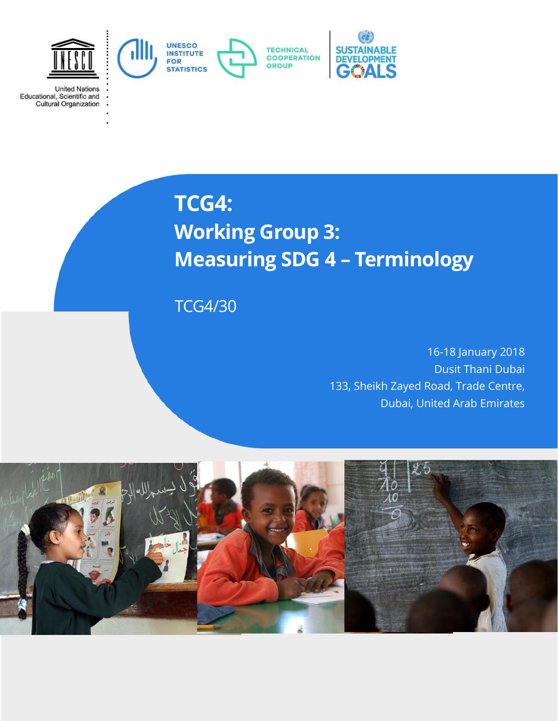

**TCG4:**

**United Nations** 

Educational, Scientific and<br>Cultural Organization

# **Working Group 3: Measuring SDG 4 – Terminology**

TCG4/30

16-18 January 2018 Dusit Thani Dubai 133, Sheikh Zayed Road, Trade Centre, Dubai, United Arab Emirates

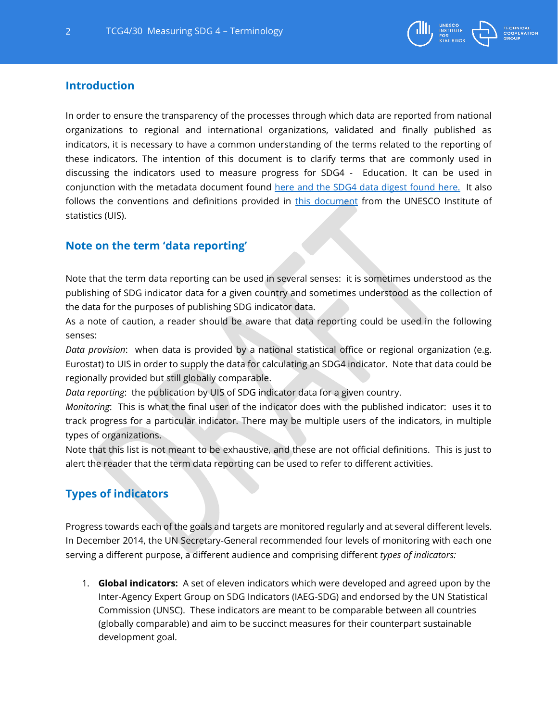

## **Introduction**

In order to ensure the transparency of the processes through which data are reported from national organizations to regional and international organizations, validated and finally published as indicators, it is necessary to have a common understanding of the terms related to the reporting of these indicators. The intention of this document is to clarify terms that are commonly used in discussing the indicators used to measure progress for SDG4 - Education. It can be used in conjunction with the metadata document found [here](http://sdg4monitoring.uis.unesco.org/metadata-global-thematic-indicators-follow-up-review-sdg4-education2030-2017.pdf) and the SDG4 data digest found [here.](http://uis.unesco.org/en/news/launch-sdg-4-data-digest-statistical-tools-and-strategies-countries-and-donors) It also follows the conventions and definitions provided in [this document](http://unesdoc.unesco.org/images/0024/002455/245559e.pdf) from the UNESCO Institute of statistics (UIS).

## **Note on the term 'data reporting'**

Note that the term data reporting can be used in several senses: it is sometimes understood as the publishing of SDG indicator data for a given country and sometimes understood as the collection of the data for the purposes of publishing SDG indicator data.

As a note of caution, a reader should be aware that data reporting could be used in the following senses:

*Data provision*: when data is provided by a national statistical office or regional organization (e.g. Eurostat) to UIS in order to supply the data for calculating an SDG4 indicator. Note that data could be regionally provided but still globally comparable.

*Data reporting*: the publication by UIS of SDG indicator data for a given country.

*Monitoring*: This is what the final user of the indicator does with the published indicator: uses it to track progress for a particular indicator. There may be multiple users of the indicators, in multiple types of organizations.

Note that this list is not meant to be exhaustive, and these are not official definitions. This is just to alert the reader that the term data reporting can be used to refer to different activities.

## **Types of indicators**

Progress towards each of the goals and targets are monitored regularly and at several different levels. In December 2014, the UN Secretary-General recommended four levels of monitoring with each one serving a different purpose, a different audience and comprising different *types of indicators:*

1. **Global indicators:** A set of eleven indicators which were developed and agreed upon by the Inter-Agency Expert Group on SDG Indicators (IAEG-SDG) and endorsed by the UN Statistical Commission (UNSC). These indicators are meant to be comparable between all countries (globally comparable) and aim to be succinct measures for their counterpart sustainable development goal.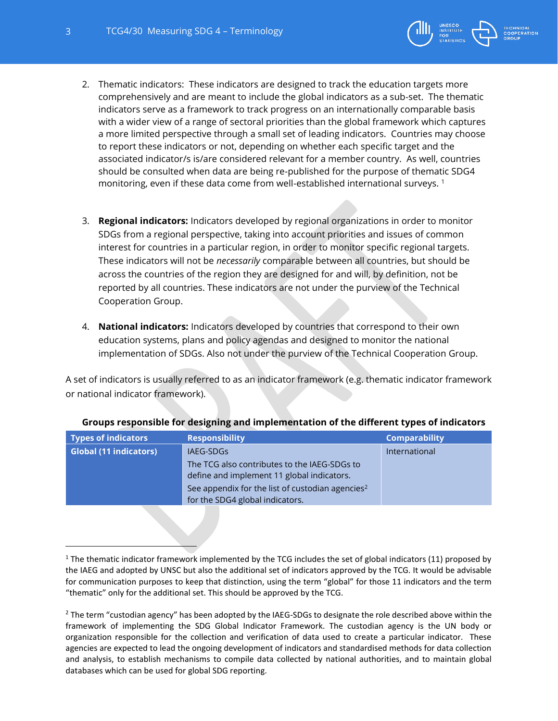$\overline{a}$ 



- 2. Thematic indicators: These indicators are designed to track the education targets more comprehensively and are meant to include the global indicators as a sub-set. The thematic indicators serve as a framework to track progress on an internationally comparable basis with a wider view of a range of sectoral priorities than the global framework which captures a more limited perspective through a small set of leading indicators. Countries may choose to report these indicators or not, depending on whether each specific target and the associated indicator/s is/are considered relevant for a member country. As well, countries should be consulted when data are being re-published for the purpose of thematic SDG4 monitoring, even if these data come from well-established international surveys.<sup>1</sup>
- 3. **Regional indicators:** Indicators developed by regional organizations in order to monitor SDGs from a regional perspective, taking into account priorities and issues of common interest for countries in a particular region, in order to monitor specific regional targets. These indicators will not be *necessarily* comparable between all countries, but should be across the countries of the region they are designed for and will, by definition, not be reported by all countries. These indicators are not under the purview of the Technical Cooperation Group.
- 4. **National indicators:** Indicators developed by countries that correspond to their own education systems, plans and policy agendas and designed to monitor the national implementation of SDGs. Also not under the purview of the Technical Cooperation Group.

A set of indicators is usually referred to as an indicator framework (e.g. thematic indicator framework or national indicator framework).

| Types of indicators           | <b>Responsibility</b>                                                                      | <b>Comparability</b> |
|-------------------------------|--------------------------------------------------------------------------------------------|----------------------|
| <b>Global (11 indicators)</b> | IAEG-SDGs                                                                                  | International        |
|                               | The TCG also contributes to the IAEG-SDGs to<br>define and implement 11 global indicators. |                      |
|                               | See appendix for the list of custodian agencies <sup>2</sup>                               |                      |
|                               | for the SDG4 global indicators.                                                            |                      |

#### **Groups responsible for designing and implementation of the different types of indicators**

<sup>&</sup>lt;sup>1</sup> The thematic indicator framework implemented by the TCG includes the set of global indicators (11) proposed by the IAEG and adopted by UNSC but also the additional set of indicators approved by the TCG. It would be advisable for communication purposes to keep that distinction, using the term "global" for those 11 indicators and the term "thematic" only for the additional set. This should be approved by the TCG.

<sup>&</sup>lt;sup>2</sup> The term "custodian agency" has been adopted by the IAEG-SDGs to designate the role described above within the framework of implementing the SDG Global Indicator Framework. The custodian agency is the UN body or organization responsible for the collection and verification of data used to create a particular indicator. These agencies are expected to lead the ongoing development of indicators and standardised methods for data collection and analysis, to establish mechanisms to compile data collected by national authorities, and to maintain global databases which can be used for global SDG reporting.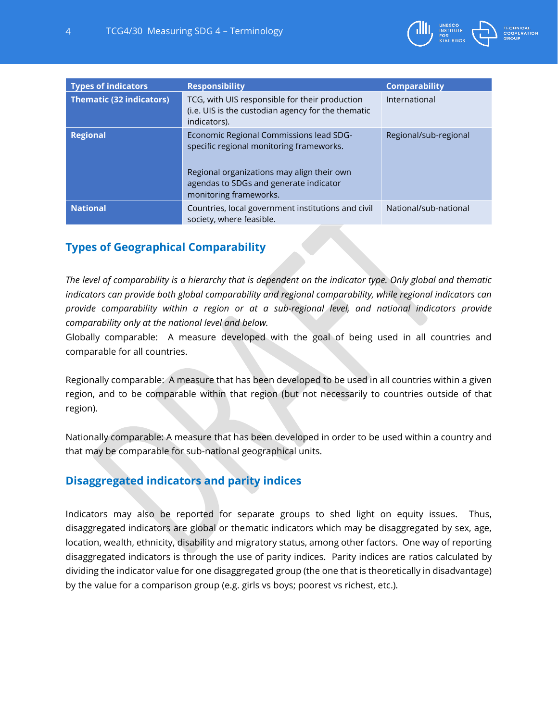

| <b>Types of indicators</b>      | <b>Responsibility</b>                                                                                                                                                                                 | <b>Comparability</b>  |
|---------------------------------|-------------------------------------------------------------------------------------------------------------------------------------------------------------------------------------------------------|-----------------------|
| <b>Thematic (32 indicators)</b> | TCG, with UIS responsible for their production<br>(i.e. UIS is the custodian agency for the thematic<br>indicators).                                                                                  | International         |
| <b>Regional</b>                 | Economic Regional Commissions lead SDG-<br>specific regional monitoring frameworks.<br>Regional organizations may align their own<br>agendas to SDGs and generate indicator<br>monitoring frameworks. | Regional/sub-regional |
| <b>National</b>                 | Countries, local government institutions and civil<br>society, where feasible.                                                                                                                        | National/sub-national |

# **Types of Geographical Comparability**

*The level of comparability is a hierarchy that is dependent on the indicator type. Only global and thematic indicators can provide both global comparability and regional comparability, while regional indicators can provide comparability within a region or at a sub-regional level, and national indicators provide comparability only at the national level and below.* 

Globally comparable: A measure developed with the goal of being used in all countries and comparable for all countries.

Regionally comparable: A measure that has been developed to be used in all countries within a given region, and to be comparable within that region (but not necessarily to countries outside of that region).

Nationally comparable: A measure that has been developed in order to be used within a country and that may be comparable for sub-national geographical units.

# **Disaggregated indicators and parity indices**

Indicators may also be reported for separate groups to shed light on equity issues. Thus, disaggregated indicators are global or thematic indicators which may be disaggregated by sex, age, location, wealth, ethnicity, disability and migratory status, among other factors. One way of reporting disaggregated indicators is through the use of parity indices. Parity indices are ratios calculated by dividing the indicator value for one disaggregated group (the one that is theoretically in disadvantage) by the value for a comparison group (e.g. girls vs boys; poorest vs richest, etc.).